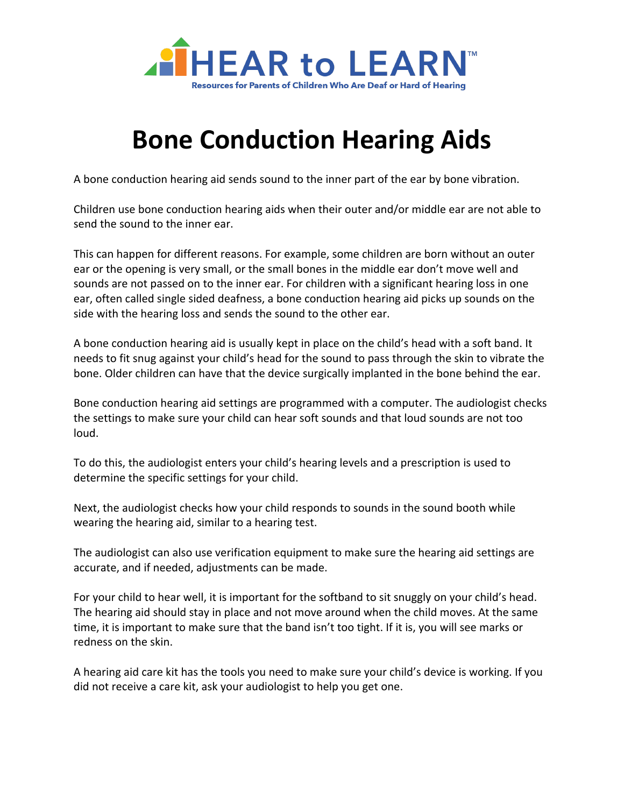

## **Bone Conduction Hearing Aids**

A bone conduction hearing aid sends sound to the inner part of the ear by bone vibration.

Children use bone conduction hearing aids when their outer and/or middle ear are not able to send the sound to the inner ear.

This can happen for different reasons. For example, some children are born without an outer ear or the opening is very small, or the small bones in the middle ear don't move well and sounds are not passed on to the inner ear. For children with a significant hearing loss in one ear, often called single sided deafness, a bone conduction hearing aid picks up sounds on the side with the hearing loss and sends the sound to the other ear.

A bone conduction hearing aid is usually kept in place on the child's head with a soft band. It needs to fit snug against your child's head for the sound to pass through the skin to vibrate the bone. Older children can have that the device surgically implanted in the bone behind the ear.

Bone conduction hearing aid settings are programmed with a computer. The audiologist checks the settings to make sure your child can hear soft sounds and that loud sounds are not too loud.

To do this, the audiologist enters your child's hearing levels and a prescription is used to determine the specific settings for your child.

Next, the audiologist checks how your child responds to sounds in the sound booth while wearing the hearing aid, similar to a hearing test.

The audiologist can also use verification equipment to make sure the hearing aid settings are accurate, and if needed, adjustments can be made.

For your child to hear well, it is important for the softband to sit snuggly on your child's head. The hearing aid should stay in place and not move around when the child moves. At the same time, it is important to make sure that the band isn't too tight. If it is, you will see marks or redness on the skin.

A hearing aid care kit has the tools you need to make sure your child's device is working. If you did not receive a care kit, ask your audiologist to help you get one.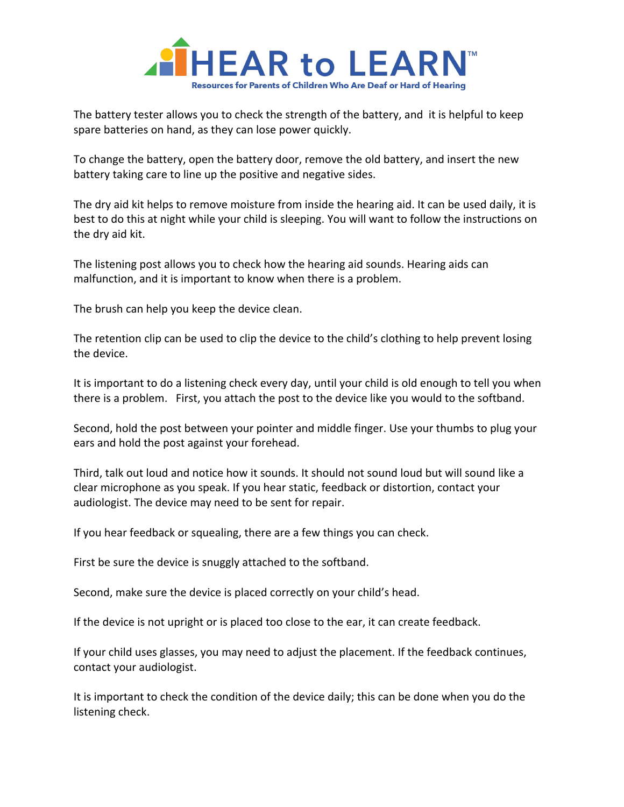

The battery tester allows you to check the strength of the battery, and it is helpful to keep spare batteries on hand, as they can lose power quickly.

To change the battery, open the battery door, remove the old battery, and insert the new battery taking care to line up the positive and negative sides.

The dry aid kit helps to remove moisture from inside the hearing aid. It can be used daily, it is best to do this at night while your child is sleeping. You will want to follow the instructions on the dry aid kit.

The listening post allows you to check how the hearing aid sounds. Hearing aids can malfunction, and it is important to know when there is a problem.

The brush can help you keep the device clean.

The retention clip can be used to clip the device to the child's clothing to help prevent losing the device.

It is important to do a listening check every day, until your child is old enough to tell you when there is a problem. First, you attach the post to the device like you would to the softband.

Second, hold the post between your pointer and middle finger. Use your thumbs to plug your ears and hold the post against your forehead.

Third, talk out loud and notice how it sounds. It should not sound loud but will sound like a clear microphone as you speak. If you hear static, feedback or distortion, contact your audiologist. The device may need to be sent for repair.

If you hear feedback or squealing, there are a few things you can check.

First be sure the device is snuggly attached to the softband.

Second, make sure the device is placed correctly on your child's head.

If the device is not upright or is placed too close to the ear, it can create feedback.

If your child uses glasses, you may need to adjust the placement. If the feedback continues, contact your audiologist.

It is important to check the condition of the device daily; this can be done when you do the listening check.